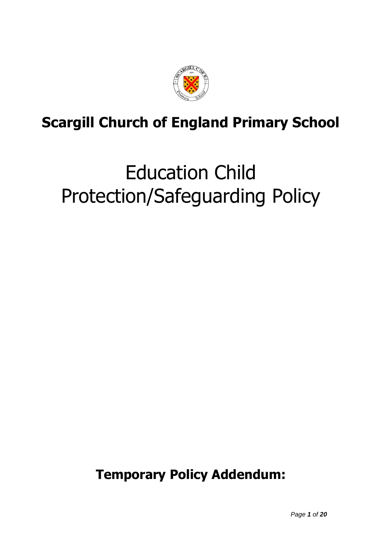

## **Scargill Church of England Primary School**

# Education Child Protection/Safeguarding Policy

**Temporary Policy Addendum:**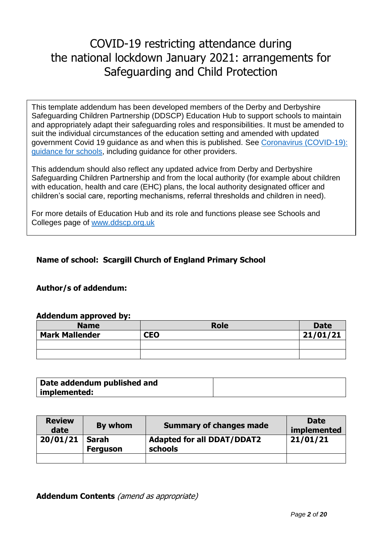### COVID-19 restricting attendance during the national lockdown January 2021: arrangements for Safeguarding and Child Protection

This template addendum has been developed members of the Derby and Derbyshire Safeguarding Children Partnership (DDSCP) Education Hub to support schools to maintain and appropriately adapt their safeguarding roles and responsibilities. It must be amended to suit the individual circumstances of the education setting and amended with updated government Covid 19 guidance as and when this is published. See [Coronavirus \(COVID-19\):](https://www.gov.uk/government/collections/guidance-for-schools-coronavirus-covid-19)  [guidance for schools,](https://www.gov.uk/government/collections/guidance-for-schools-coronavirus-covid-19) including guidance for other providers.

**Annex 1** This addendum should also reflect any updated advice from Derby and Derbyshire Safeguarding Children Partnership and from the local authority (for example about children with education, health and care (EHC) plans, the local authority designated officer and children's social care, reporting mechanisms, referral thresholds and children in need).

For more details of Education Hub and its role and functions please see Schools and Colleges page of [www.ddscp.org.uk](http://www.ddscp.org.uk/)

#### **Name of school: Scargill Church of England Primary School**

#### **Author/s of addendum:**

#### **Addendum approved by:**

| <b>Name</b>           | <b>Role</b> | <b>Date</b> |
|-----------------------|-------------|-------------|
| <b>Mark Mallender</b> | <b>CEO</b>  | 21/01/21    |
|                       |             |             |
|                       |             |             |

| Date addendum published and |  |
|-----------------------------|--|
| implemented:                |  |

| <b>Review</b><br>date | By whom                  | <b>Summary of changes made</b>               | <b>Date</b><br>implemented |
|-----------------------|--------------------------|----------------------------------------------|----------------------------|
| 20/01/21              | Sarah<br><b>Ferguson</b> | <b>Adapted for all DDAT/DDAT2</b><br>schools | 21/01/21                   |
|                       |                          |                                              |                            |

**Addendum Contents** (amend as appropriate)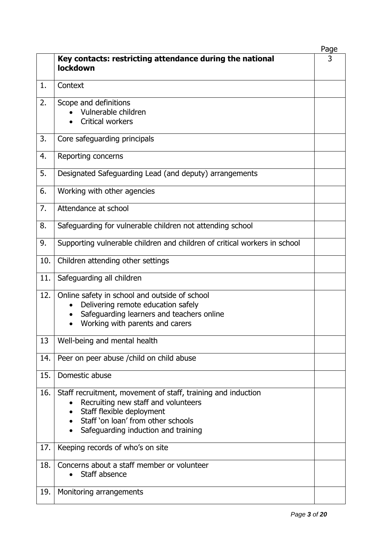|     |                                                                                                                                                                                                               | Page |
|-----|---------------------------------------------------------------------------------------------------------------------------------------------------------------------------------------------------------------|------|
|     | Key contacts: restricting attendance during the national<br>lockdown                                                                                                                                          | 3    |
| 1.  | Context                                                                                                                                                                                                       |      |
| 2.  | Scope and definitions<br>Vulnerable children<br><b>Critical workers</b>                                                                                                                                       |      |
| 3.  | Core safeguarding principals                                                                                                                                                                                  |      |
| 4.  | Reporting concerns                                                                                                                                                                                            |      |
| 5.  | Designated Safeguarding Lead (and deputy) arrangements                                                                                                                                                        |      |
| 6.  | Working with other agencies                                                                                                                                                                                   |      |
| 7.  | Attendance at school                                                                                                                                                                                          |      |
| 8.  | Safeguarding for vulnerable children not attending school                                                                                                                                                     |      |
| 9.  | Supporting vulnerable children and children of critical workers in school                                                                                                                                     |      |
| 10. | Children attending other settings                                                                                                                                                                             |      |
| 11. | Safeguarding all children                                                                                                                                                                                     |      |
| 12. | Online safety in school and outside of school<br>Delivering remote education safely<br>$\bullet$<br>Safeguarding learners and teachers online<br>Working with parents and carers                              |      |
| 13  | Well-being and mental health                                                                                                                                                                                  |      |
| 14. | Peer on peer abuse / child on child abuse                                                                                                                                                                     |      |
| 15. | Domestic abuse                                                                                                                                                                                                |      |
| 16. | Staff recruitment, movement of staff, training and induction<br>Recruiting new staff and volunteers<br>Staff flexible deployment<br>Staff 'on loan' from other schools<br>Safeguarding induction and training |      |
| 17. | Keeping records of who's on site                                                                                                                                                                              |      |
| 18. | Concerns about a staff member or volunteer<br>Staff absence                                                                                                                                                   |      |
| 19. | Monitoring arrangements                                                                                                                                                                                       |      |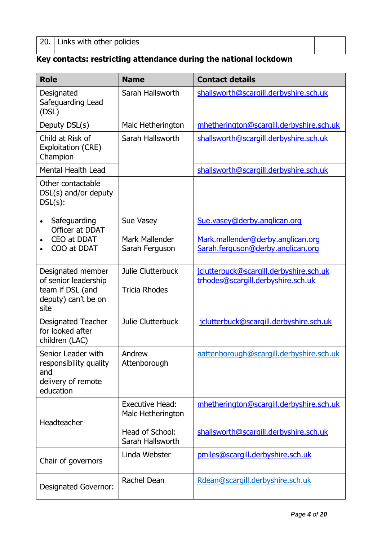#### **Key contacts: restricting attendance during the national lockdown**

| <b>Role</b>                                                             | <b>Name</b>                                 | <b>Contact details</b>                   |
|-------------------------------------------------------------------------|---------------------------------------------|------------------------------------------|
| Designated<br>Safeguarding Lead<br>(DSL)                                | Sarah Hallsworth                            | shallsworth@scargill.derbyshire.sch.uk   |
| Deputy DSL(s)                                                           | Malc Hetherington                           | mhetherington@scargill.derbyshire.sch.uk |
| Child at Risk of<br>Exploitation (CRE)<br>Champion                      | Sarah Hallsworth                            | shallsworth@scargill.derbyshire.sch.uk   |
| <b>Mental Health Lead</b>                                               |                                             | shallsworth@scargill.derbyshire.sch.uk   |
| Other contactable<br>DSL(s) and/or deputy<br>$DSL(s)$ :                 |                                             |                                          |
| Safeguarding<br>$\bullet$<br>Officer at DDAT                            | Sue Vasey                                   | Sue.vasey@derby.anglican.org             |
| CEO at DDAT                                                             | Mark Mallender                              | Mark.mallender@derby.anglican.org        |
| COO at DDAT                                                             | Sarah Ferguson                              | Sarah.ferguson@derby.anglican.org        |
| Designated member                                                       | Julie Clutterbuck                           | jclutterbuck@scargill.derbyshire.sch.uk  |
| of senior leadership<br>team if DSL (and<br>deputy) can't be on<br>site | <b>Tricia Rhodes</b>                        | trhodes@scargill.derbyshire.sch.uk       |
| <b>Designated Teacher</b><br>for looked after<br>children (LAC)         | Julie Clutterbuck                           | jclutterbuck@scargill.derbyshire.sch.uk  |
| Senior Leader with<br>responsibility quality<br>and                     | Andrew<br>Attenborough                      | aattenborough@scargill.derbyshire.sch.uk |
| delivery of remote<br>education                                         |                                             |                                          |
| Headteacher                                                             | <b>Executive Head:</b><br>Malc Hetherington | mhetherington@scargill.derbyshire.sch.uk |
|                                                                         | Head of School:<br>Sarah Hallsworth         | shallsworth@scargill.derbyshire.sch.uk   |
| Chair of governors                                                      | Linda Webster                               | pmiles@scargill.derbyshire.sch.uk        |
| <b>Designated Governor:</b>                                             | Rachel Dean                                 | Rdean@scargill.derbyshire.sch.uk         |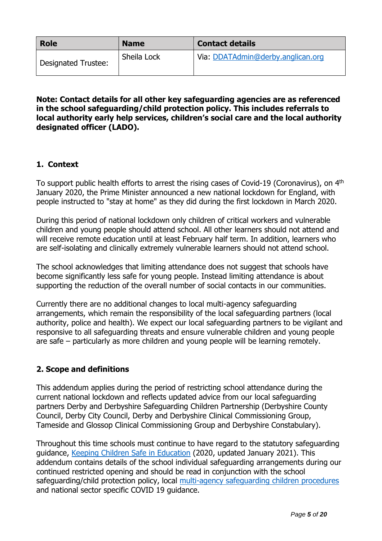| <b>Role</b>         | <b>Name</b> | <b>Contact details</b>            |
|---------------------|-------------|-----------------------------------|
| Designated Trustee: | Sheila Lock | Via: DDATAdmin@derby.anglican.org |

#### **Note: Contact details for all other key safeguarding agencies are as referenced in the school safeguarding/child protection policy. This includes referrals to local authority early help services, children's social care and the local authority designated officer (LADO).**

#### **1. Context**

To support public health efforts to arrest the rising cases of Covid-19 (Coronavirus), on 4<sup>th</sup> January 2020, the Prime Minister announced a new national lockdown for England, with people instructed to "stay at home" as they did during the first lockdown in March 2020.

During this period of national lockdown only children of critical workers and vulnerable children and young people should attend school. All other learners should not attend and will receive remote education until at least February half term. In addition, learners who are self-isolating and clinically extremely vulnerable learners should not attend school.

The school acknowledges that limiting attendance does not suggest that schools have become significantly less safe for young people. Instead limiting attendance is about supporting the reduction of the overall number of social contacts in our communities.

Currently there are no additional changes to local multi-agency safeguarding arrangements, which remain the responsibility of the local safeguarding partners (local authority, police and health). We expect our local safeguarding partners to be vigilant and responsive to all safeguarding threats and ensure vulnerable children and young people are safe – particularly as more children and young people will be learning remotely.

#### **2. Scope and definitions**

This addendum applies during the period of restricting school attendance during the current national lockdown and reflects updated advice from our local safeguarding partners Derby and Derbyshire Safeguarding Children Partnership (Derbyshire County Council, Derby City Council, Derby and Derbyshire Clinical Commissioning Group, Tameside and Glossop Clinical Commissioning Group and Derbyshire Constabulary).

Throughout this time schools must continue to have regard to the statutory safeguarding guidance, [Keeping Children Safe in Education](https://www.gov.uk/government/publications/keeping-children-safe-in-education--2) (2020, updated January 2021). This addendum contains details of the school individual safeguarding arrangements during our continued restricted opening and should be read in conjunction with the school safeguarding/child protection policy, local [multi-agency safeguarding children procedures](https://derbyshirescbs.proceduresonline.com/index.htm) and national sector specific COVID 19 guidance.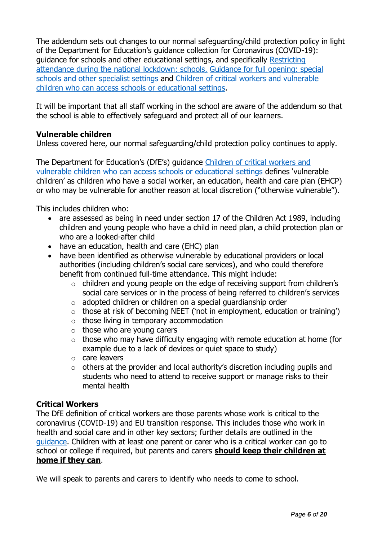The addendum sets out changes to our normal safeguarding/child protection policy in light of the Department for Education's guidance collection for Coronavirus (COVID-19): guidance for schools and other educational settings, and specifically [Restricting](https://www.gov.uk/government/publications/actions-for-schools-during-the-coronavirus-outbreak?utm_medium=email&utm_campaign=govuk-notifications&utm_source=08720782-d5c2-423a-90bf-6450e8ad7640&utm_content=daily)  [attendance during the national lockdown: schools,](https://www.gov.uk/government/publications/actions-for-schools-during-the-coronavirus-outbreak?utm_medium=email&utm_campaign=govuk-notifications&utm_source=08720782-d5c2-423a-90bf-6450e8ad7640&utm_content=daily) [Guidance for full opening: special](https://www.gov.uk/government/publications/guidance-for-full-opening-special-schools-and-other-specialist-settings)  [schools and other specialist settings](https://www.gov.uk/government/publications/guidance-for-full-opening-special-schools-and-other-specialist-settings) and [Children of critical workers and vulnerable](https://www.gov.uk/government/publications/coronavirus-covid-19-maintaining-educational-provision/guidance-for-schools-colleges-and-local-authorities-on-maintaining-educational-provision)  [children who can access schools or educational settings.](https://www.gov.uk/government/publications/coronavirus-covid-19-maintaining-educational-provision/guidance-for-schools-colleges-and-local-authorities-on-maintaining-educational-provision)

It will be important that all staff working in the school are aware of the addendum so that the school is able to effectively safeguard and protect all of our learners.

#### **Vulnerable children**

Unless covered here, our normal safeguarding/child protection policy continues to apply.

The Department for Education's (DfE's) guidance [Children of critical workers and](https://www.gov.uk/government/publications/coronavirus-covid-19-maintaining-educational-provision/guidance-for-schools-colleges-and-local-authorities-on-maintaining-educational-provision)  [vulnerable children who can access schools or educational settings](https://www.gov.uk/government/publications/coronavirus-covid-19-maintaining-educational-provision/guidance-for-schools-colleges-and-local-authorities-on-maintaining-educational-provision) defines 'vulnerable children' as children who have a social worker, an education, health and care plan (EHCP) or who may be vulnerable for another reason at local discretion ("otherwise vulnerable").

This includes children who:

- are assessed as being in need under section 17 of the Children Act 1989, including children and young people who have a child in need plan, a child protection plan or who are a looked-after child
- have an education, health and care (EHC) plan
- have been identified as otherwise vulnerable by educational providers or local authorities (including children's social care services), and who could therefore benefit from continued full-time attendance. This might include:
	- o children and young people on the edge of receiving support from children's social care services or in the process of being referred to children's services
	- o adopted children or children on a special guardianship order
	- $\circ$  those at risk of becoming NEET ('not in employment, education or training')
	- $\circ$  those living in temporary accommodation
	- $\circ$  those who are young carers
	- $\circ$  those who may have difficulty engaging with remote education at home (for example due to a lack of devices or quiet space to study)
	- o care leavers
	- $\circ$  others at the provider and local authority's discretion including pupils and students who need to attend to receive support or manage risks to their mental health

#### **Critical Workers**

The DfE definition of critical workers are those parents whose work is critical to the coronavirus (COVID-19) and EU transition response. This includes those who work in health and social care and in other key sectors; further details are outlined in the [guidance.](https://www.gov.uk/government/publications/coronavirus-covid-19-maintaining-educational-provision/guidance-for-schools-colleges-and-local-authorities-on-maintaining-educational-provision) Children with at least one parent or carer who is a critical worker can go to school or college if required, but parents and carers **should keep their children at home if they can**.

We will speak to parents and carers to identify who needs to come to school.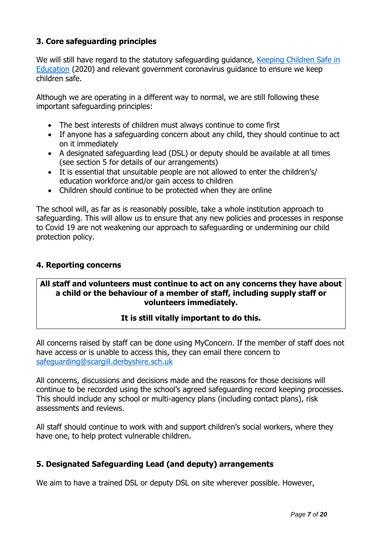#### **3. Core safeguarding principles**

We will still have regard to the statutory safeguarding guidance, Keeping Children Safe in [Education](https://www.gov.uk/government/publications/keeping-children-safe-in-education--2) (2020) and relevant government coronavirus guidance to ensure we keep children safe.

Although we are operating in a different way to normal, we are still following these important safeguarding principles:

- The best interests of children must always continue to come first
- If anyone has a safeguarding concern about any child, they should continue to act on it immediately
- A designated safeguarding lead (DSL) or deputy should be available at all times (see section 5 for details of our arrangements)
- It is essential that unsuitable people are not allowed to enter the children's/ education workforce and/or gain access to children
- Children should continue to be protected when they are online

The school will, as far as is reasonably possible, take a whole institution approach to safeguarding. This will allow us to ensure that any new policies and processes in response to Covid 19 are not weakening our approach to safeguarding or undermining our child protection policy.

#### **4. Reporting concerns**

#### **All staff and volunteers must continue to act on any concerns they have about a child or the behaviour of a member of staff, including supply staff or volunteers immediately.**

#### **It is still vitally important to do this.**

All concerns raised by staff can be done using MyConcern. If the member of staff does not have access or is unable to access this, they can email there concern to [safeguarding@scargill.derbyshire.sch.uk](mailto:safeguarding@scargill.derbyshire.sch.uk)

All concerns, discussions and decisions made and the reasons for those decisions will continue to be recorded using the school's agreed safeguarding record keeping processes. This should include any school or multi-agency plans (including contact plans), risk assessments and reviews.

All staff should continue to work with and support children's social workers, where they have one, to help protect vulnerable children.

#### **5. Designated Safeguarding Lead (and deputy) arrangements**

We aim to have a trained DSL or deputy DSL on site wherever possible. However,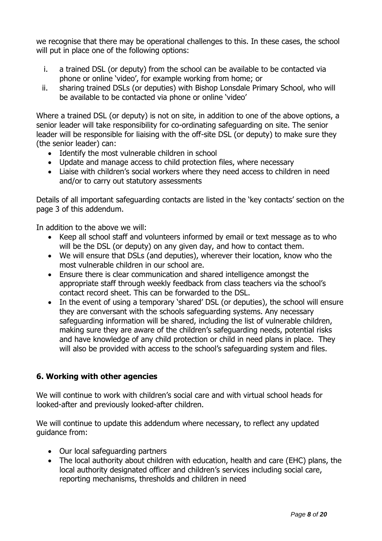we recognise that there may be operational challenges to this. In these cases, the school will put in place one of the following options:

- i. a trained DSL (or deputy) from the school can be available to be contacted via phone or online 'video', for example working from home; or
- ii. sharing trained DSLs (or deputies) with Bishop Lonsdale Primary School, who will be available to be contacted via phone or online 'video'

Where a trained DSL (or deputy) is not on site, in addition to one of the above options, a senior leader will take responsibility for co-ordinating safeguarding on site. The senior leader will be responsible for liaising with the off-site DSL (or deputy) to make sure they (the senior leader) can:

- Identify the most vulnerable children in school
- Update and manage access to child protection files, where necessary
- Liaise with children's social workers where they need access to children in need and/or to carry out statutory assessments

Details of all important safeguarding contacts are listed in the 'key contacts' section on the page 3 of this addendum.

In addition to the above we will:

- Keep all school staff and volunteers informed by email or text message as to who will be the DSL (or deputy) on any given day, and how to contact them.
- We will ensure that DSLs (and deputies), wherever their location, know who the most vulnerable children in our school are.
- Ensure there is clear communication and shared intelligence amongst the appropriate staff through weekly feedback from class teachers via the school's contact record sheet. This can be forwarded to the DSL.
- In the event of using a temporary 'shared' DSL (or deputies), the school will ensure they are conversant with the schools safeguarding systems. Any necessary safeguarding information will be shared, including the list of vulnerable children, making sure they are aware of the children's safeguarding needs, potential risks and have knowledge of any child protection or child in need plans in place. They will also be provided with access to the school's safeguarding system and files.

#### **6. Working with other agencies**

We will continue to work with children's social care and with virtual school heads for looked-after and previously looked-after children.

We will continue to update this addendum where necessary, to reflect any updated guidance from:

- Our local safeguarding partners
- The local authority about children with education, health and care (EHC) plans, the local authority designated officer and children's services including social care, reporting mechanisms, thresholds and children in need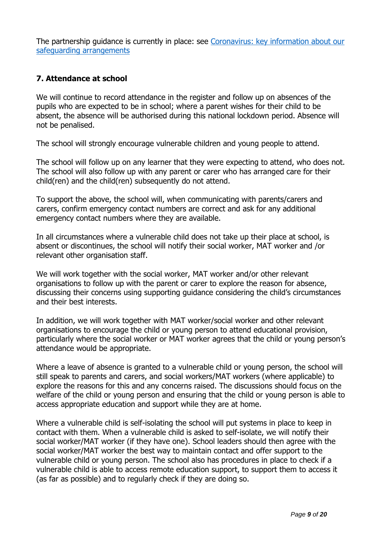The partnership quidance is currently in place: see Coronavirus: key information about our [safeguarding arrangements](https://www.ddscp.org.uk/coronavirus-safeguarding-arrangements/)

#### **7. Attendance at school**

We will continue to record attendance in the register and follow up on absences of the pupils who are expected to be in school; where a parent wishes for their child to be absent, the absence will be authorised during this national lockdown period. Absence will not be penalised.

The school will strongly encourage vulnerable children and young people to attend.

The school will follow up on any learner that they were expecting to attend, who does not. The school will also follow up with any parent or carer who has arranged care for their child(ren) and the child(ren) subsequently do not attend.

To support the above, the school will, when communicating with parents/carers and carers, confirm emergency contact numbers are correct and ask for any additional emergency contact numbers where they are available.

In all circumstances where a vulnerable child does not take up their place at school, is absent or discontinues, the school will notify their social worker, MAT worker and /or relevant other organisation staff.

We will work together with the social worker, MAT worker and/or other relevant organisations to follow up with the parent or carer to explore the reason for absence, discussing their concerns using supporting guidance considering the child's circumstances and their best interests.

In addition, we will work together with MAT worker/social worker and other relevant organisations to encourage the child or young person to attend educational provision, particularly where the social worker or MAT worker agrees that the child or young person's attendance would be appropriate.

Where a leave of absence is granted to a vulnerable child or young person, the school will still speak to parents and carers, and social workers/MAT workers (where applicable) to explore the reasons for this and any concerns raised. The discussions should focus on the welfare of the child or young person and ensuring that the child or young person is able to access appropriate education and support while they are at home.

Where a vulnerable child is self-isolating the school will put systems in place to keep in contact with them. When a vulnerable child is asked to self-isolate, we will notify their social worker/MAT worker (if they have one). School leaders should then agree with the social worker/MAT worker the best way to maintain contact and offer support to the vulnerable child or young person. The school also has procedures in place to check if a vulnerable child is able to access remote education support, to support them to access it (as far as possible) and to regularly check if they are doing so.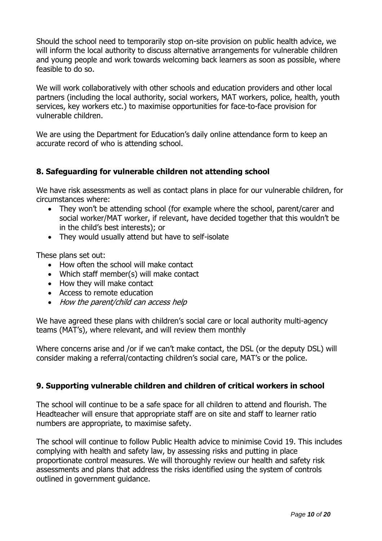Should the school need to temporarily stop on-site provision on public health advice, we will inform the local authority to discuss alternative arrangements for vulnerable children and young people and work towards welcoming back learners as soon as possible, where feasible to do so.

We will work collaboratively with other schools and education providers and other local partners (including the local authority, social workers, MAT workers, police, health, youth services, key workers etc.) to maximise opportunities for face-to-face provision for vulnerable children.

We are using the Department for Education's daily online attendance form to keep an accurate record of who is attending school.

#### **8. Safeguarding for vulnerable children not attending school**

We have risk assessments as well as contact plans in place for our vulnerable children, for circumstances where:

- They won't be attending school (for example where the school, parent/carer and social worker/MAT worker, if relevant, have decided together that this wouldn't be in the child's best interests); or
- They would usually attend but have to self-isolate

These plans set out:

- How often the school will make contact
- Which staff member(s) will make contact
- How they will make contact
- Access to remote education
- How the parent/child can access help

We have agreed these plans with children's social care or local authority multi-agency teams (MAT's), where relevant, and will review them monthly

Where concerns arise and /or if we can't make contact, the DSL (or the deputy DSL) will consider making a referral/contacting children's social care, MAT's or the police.

#### **9. Supporting vulnerable children and children of critical workers in school**

The school will continue to be a safe space for all children to attend and flourish. The Headteacher will ensure that appropriate staff are on site and staff to learner ratio numbers are appropriate, to maximise safety.

The school will continue to follow Public Health advice to minimise Covid 19. This includes complying with health and safety law, by assessing risks and putting in place proportionate control measures. We will thoroughly review our health and safety risk assessments and plans that address the risks identified using the system of controls outlined in government guidance.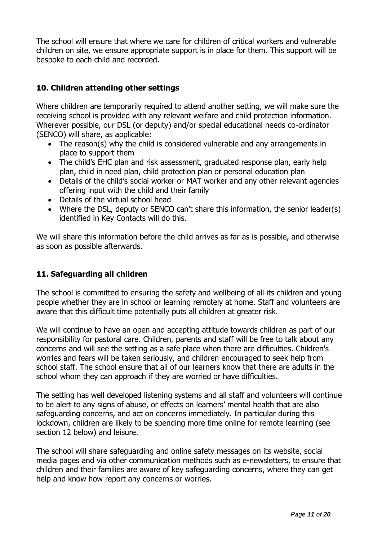The school will ensure that where we care for children of critical workers and vulnerable children on site, we ensure appropriate support is in place for them. This support will be bespoke to each child and recorded.

#### **10. Children attending other settings**

Where children are temporarily required to attend another setting, we will make sure the receiving school is provided with any relevant welfare and child protection information. Wherever possible, our DSL (or deputy) and/or special educational needs co-ordinator (SENCO) will share, as applicable:

- The reason(s) why the child is considered vulnerable and any arrangements in place to support them
- The child's EHC plan and risk assessment, graduated response plan, early help plan, child in need plan, child protection plan or personal education plan
- Details of the child's social worker or MAT worker and any other relevant agencies offering input with the child and their family
- Details of the virtual school head
- Where the DSL, deputy or SENCO can't share this information, the senior leader(s) identified in Key Contacts will do this.

We will share this information before the child arrives as far as is possible, and otherwise as soon as possible afterwards.

#### **11. Safeguarding all children**

The school is committed to ensuring the safety and wellbeing of all its children and young people whether they are in school or learning remotely at home. Staff and volunteers are aware that this difficult time potentially puts all children at greater risk.

We will continue to have an open and accepting attitude towards children as part of our responsibility for pastoral care. Children, parents and staff will be free to talk about any concerns and will see the setting as a safe place when there are difficulties. Children's worries and fears will be taken seriously, and children encouraged to seek help from school staff. The school ensure that all of our learners know that there are adults in the school whom they can approach if they are worried or have difficulties.

The setting has well developed listening systems and all staff and volunteers will continue to be alert to any signs of abuse, or effects on learners' mental health that are also safeguarding concerns, and act on concerns immediately. In particular during this lockdown, children are likely to be spending more time online for remote learning (see section 12 below) and leisure.

The school will share safeguarding and online safety messages on its website, social media pages and via other communication methods such as e-newsletters, to ensure that children and their families are aware of key safeguarding concerns, where they can get help and know how report any concerns or worries.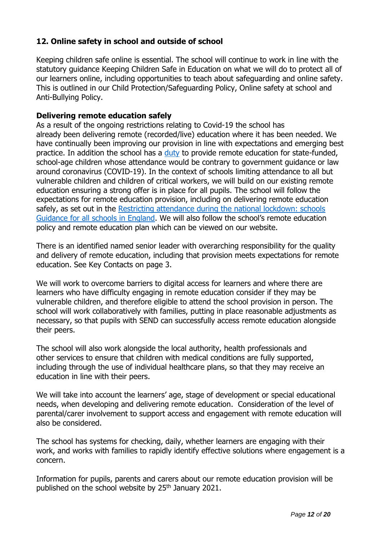#### **12. Online safety in school and outside of school**

Keeping children safe online is essential. The school will continue to work in line with the statutory guidance Keeping Children Safe in Education on what we will do to protect all of our learners online, including opportunities to teach about safeguarding and online safety. This is outlined in our Child Protection/Safeguarding Policy, Online safety at school and Anti-Bullying Policy.

#### **Delivering remote education safely**

As a result of the ongoing restrictions relating to Covid-19 the school has already been delivering remote (recorded/live) education where it has been needed. We have continually been improving our provision in line with expectations and emerging best practice. In addition the school has a [duty](https://www.gov.uk/government/publications/remote-education-temporary-continuity-direction-explanatory-note) to provide remote education for state-funded, school-age children whose attendance would be contrary to government guidance or law around coronavirus (COVID-19). In the context of schools limiting attendance to all but vulnerable children and children of critical workers, we will build on our existing remote education ensuring a strong offer is in place for all pupils. The school will follow the expectations for remote education provision, including on delivering remote education safely, as set out in the Restricting attendance during the national lockdown: schools [Guidance for all schools in England.](https://assets.publishing.service.gov.uk/government/uploads/system/uploads/attachment_data/file/952443/210114_School_national_restrictions_guidance_FINAL_14012021.pdf) We will also follow the school's remote education policy and remote education plan which can be viewed on our website.

There is an identified named senior leader with overarching responsibility for the quality and delivery of remote education, including that provision meets expectations for remote education. See Key Contacts on page 3.

We will work to overcome barriers to digital access for learners and where there are learners who have difficulty engaging in remote education consider if they may be vulnerable children, and therefore eligible to attend the school provision in person. The school will work collaboratively with families, putting in place reasonable adjustments as necessary, so that pupils with SEND can successfully access remote education alongside their peers.

The school will also work alongside the local authority, health professionals and other services to ensure that children with medical conditions are fully supported, including through the use of individual healthcare plans, so that they may receive an education in line with their peers.

We will take into account the learners' age, stage of development or special educational needs, when developing and delivering remote education. Consideration of the level of parental/carer involvement to support access and engagement with remote education will also be considered.

The school has systems for checking, daily, whether learners are engaging with their work, and works with families to rapidly identify effective solutions where engagement is a concern.

Information for pupils, parents and carers about our remote education provision will be published on the school website by  $25<sup>th</sup>$  January 2021.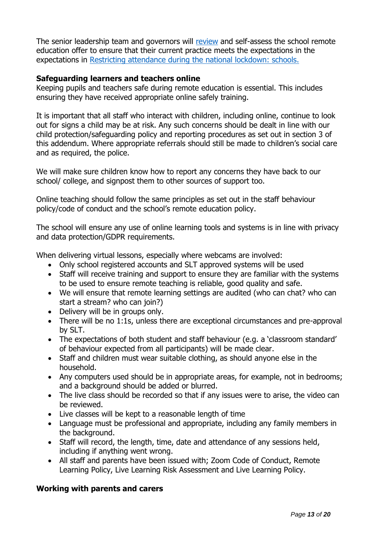The senior leadership team and governors will [review](https://www.gov.uk/government/publications/review-your-remote-education-provision?utm_medium=email&utm_campaign=govuk-notifications&utm_source=53522a25-c275-4777-996d-ade6d8f11bd5&utm_content=daily) and self-assess the school remote education offer to ensure that their current practice meets the expectations in the expectations in [Restricting attendance during the national lockdown: schools.](https://www.gov.uk/government/publications/actions-for-schools-during-the-coronavirus-outbreak)

#### **Safeguarding learners and teachers online**

Keeping pupils and teachers safe during remote education is essential. This includes ensuring they have received appropriate online safely training.

It is important that all staff who interact with children, including online, continue to look out for signs a child may be at risk. Any such concerns should be dealt in line with our child protection/safeguarding policy and reporting procedures as set out in section 3 of this addendum. Where appropriate referrals should still be made to children's social care and as required, the police.

We will make sure children know how to report any concerns they have back to our school/ college, and signpost them to other sources of support too.

Online teaching should follow the same principles as set out in the staff behaviour policy/code of conduct and the school's remote education policy.

The school will ensure any use of online learning tools and systems is in line with privacy and data protection/GDPR requirements.

When delivering virtual lessons, especially where webcams are involved:

- Only school registered accounts and SLT approved systems will be used
- Staff will receive training and support to ensure they are familiar with the systems to be used to ensure remote teaching is reliable, good quality and safe.
- We will ensure that remote learning settings are audited (who can chat? who can start a stream? who can join?)
- Delivery will be in groups only.
- There will be no 1:1s, unless there are exceptional circumstances and pre-approval by SLT.
- The expectations of both student and staff behaviour (e.g. a 'classroom standard' of behaviour expected from all participants) will be made clear.
- Staff and children must wear suitable clothing, as should anyone else in the household.
- Any computers used should be in appropriate areas, for example, not in bedrooms; and a background should be added or blurred.
- The live class should be recorded so that if any issues were to arise, the video can be reviewed.
- Live classes will be kept to a reasonable length of time
- Language must be professional and appropriate, including any family members in the background.
- Staff will record, the length, time, date and attendance of any sessions held, including if anything went wrong.
- All staff and parents have been issued with; Zoom Code of Conduct, Remote Learning Policy, Live Learning Risk Assessment and Live Learning Policy.

#### **Working with parents and carers**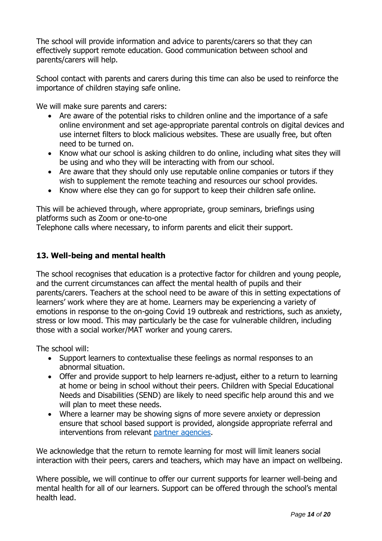The school will provide information and advice to parents/carers so that they can effectively support remote education. Good communication between school and parents/carers will help.

School contact with parents and carers during this time can also be used to reinforce the importance of children staying safe online.

We will make sure parents and carers:

- Are aware of the potential risks to children online and the importance of a safe online environment and set age-appropriate parental controls on digital devices and use internet filters to block malicious websites. These are usually free, but often need to be turned on.
- Know what our school is asking children to do online, including what sites they will be using and who they will be interacting with from our school.
- Are aware that they should only use reputable online companies or tutors if they wish to supplement the remote teaching and resources our school provides.
- Know where else they can go for support to keep their children safe online.

This will be achieved through, where appropriate, group seminars, briefings using platforms such as Zoom or one-to-one

Telephone calls where necessary, to inform parents and elicit their support.

#### **13. Well-being and mental health**

The school recognises that education is a protective factor for children and young people, and the current circumstances can affect the mental health of pupils and their parents/carers. Teachers at the school need to be aware of this in setting expectations of learners' work where they are at home. Learners may be experiencing a variety of emotions in response to the on-going Covid 19 outbreak and restrictions, such as anxiety, stress or low mood. This may particularly be the case for vulnerable children, including those with a social worker/MAT worker and young carers.

The school will:

- Support learners to contextualise these feelings as normal responses to an abnormal situation.
- Offer and provide support to help learners re-adjust, either to a return to learning at home or being in school without their peers. Children with Special Educational Needs and Disabilities (SEND) are likely to need specific help around this and we will plan to meet these needs.
- Where a learner may be showing signs of more severe anxiety or depression ensure that school based support is provided, alongside appropriate referral and interventions from relevant [partner agencies.](https://derbyandderbyshireemotionalhealthandwellbeing.uk/)

We acknowledge that the return to remote learning for most will limit leaners social interaction with their peers, carers and teachers, which may have an impact on wellbeing.

Where possible, we will continue to offer our current supports for learner well-being and mental health for all of our learners. Support can be offered through the school's mental health lead.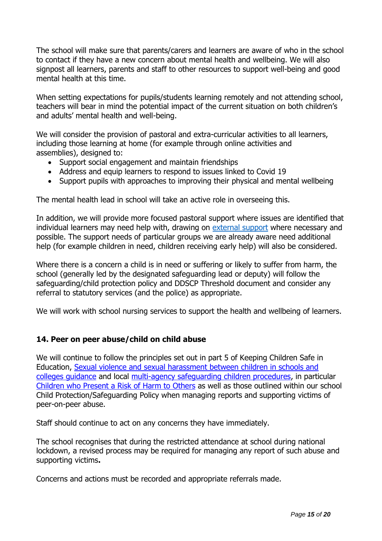The school will make sure that parents/carers and learners are aware of who in the school to contact if they have a new concern about mental health and wellbeing. We will also signpost all learners, parents and staff to other resources to support well-being and good mental health at this time.

When setting expectations for pupils/students learning remotely and not attending school, teachers will bear in mind the potential impact of the current situation on both children's and adults' mental health and well-being.

We will consider the provision of pastoral and extra-curricular activities to all learners, including those learning at home (for example through online activities and assemblies), designed to:

- Support social engagement and maintain friendships
- Address and equip learners to respond to issues linked to Covid 19
- Support pupils with approaches to improving their physical and mental wellbeing

The mental health lead in school will take an active role in overseeing this.

In addition, we will provide more focused pastoral support where issues are identified that individual learners may need help with, drawing on [external support](https://derbyandderbyshireemotionalhealthandwellbeing.uk/) where necessary and possible. The support needs of particular groups we are already aware need additional help (for example children in need, children receiving early help) will also be considered.

Where there is a concern a child is in need or suffering or likely to suffer from harm, the school (generally led by the designated safeguarding lead or deputy) will follow the safeguarding/child protection policy and DDSCP Threshold document and consider any referral to statutory services (and the police) as appropriate.

We will work with school nursing services to support the health and wellbeing of learners.

#### **14. Peer on peer abuse/child on child abuse**

We will continue to follow the principles set out in part 5 of Keeping Children Safe in Education, Sexual violence and [sexual harassment between children in schools and](https://www.gov.uk/government/publications/sexual-violence-and-sexual-harassment-between-children-in-schools-and-colleges)  [colleges guidance](https://www.gov.uk/government/publications/sexual-violence-and-sexual-harassment-between-children-in-schools-and-colleges) and local [multi-agency safeguarding children procedures,](https://derbyshirescbs.proceduresonline.com/contents.html) in particular [Children who Present a Risk of Harm to Others](https://derbyshirescbs.proceduresonline.com/p_abuse_by_ch_yp.html) as well as those outlined within our school Child Protection/Safeguarding Policy when managing reports and supporting victims of peer-on-peer abuse.

Staff should continue to act on any concerns they have immediately.

The school recognises that during the restricted attendance at school during national lockdown, a revised process may be required for managing any report of such abuse and supporting victims**.**

Concerns and actions must be recorded and appropriate referrals made.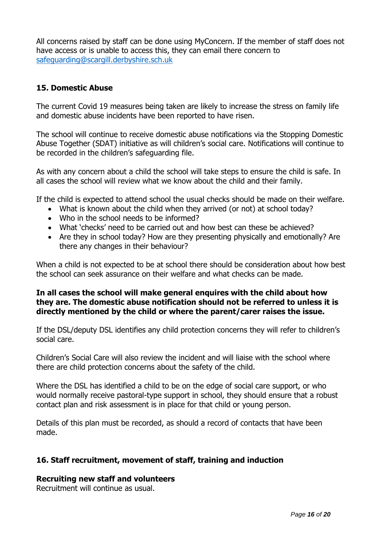All concerns raised by staff can be done using MyConcern. If the member of staff does not have access or is unable to access this, they can email there concern to [safeguarding@scargill.derbyshire.sch.uk](mailto:safeguarding@scargill.derbyshire.sch.uk)

#### **15. Domestic Abuse**

The current Covid 19 measures being taken are likely to increase the stress on family life and domestic abuse incidents have been reported to have risen.

The school will continue to receive domestic abuse notifications via the Stopping Domestic Abuse Together (SDAT) initiative as will children's social care. Notifications will continue to be recorded in the children's safeguarding file.

As with any concern about a child the school will take steps to ensure the child is safe. In all cases the school will review what we know about the child and their family.

If the child is expected to attend school the usual checks should be made on their welfare.

- What is known about the child when they arrived (or not) at school today?
- Who in the school needs to be informed?
- What 'checks' need to be carried out and how best can these be achieved?
- Are they in school today? How are they presenting physically and emotionally? Are there any changes in their behaviour?

When a child is not expected to be at school there should be consideration about how best the school can seek assurance on their welfare and what checks can be made.

#### **In all cases the school will make general enquires with the child about how they are. The domestic abuse notification should not be referred to unless it is directly mentioned by the child or where the parent/carer raises the issue.**

If the DSL/deputy DSL identifies any child protection concerns they will refer to children's social care.

Children's Social Care will also review the incident and will liaise with the school where there are child protection concerns about the safety of the child.

Where the DSL has identified a child to be on the edge of social care support, or who would normally receive pastoral-type support in school, they should ensure that a robust contact plan and risk assessment is in place for that child or young person.

Details of this plan must be recorded, as should a record of contacts that have been made.

#### **16. Staff recruitment, movement of staff, training and induction**

#### **Recruiting new staff and volunteers**

Recruitment will continue as usual.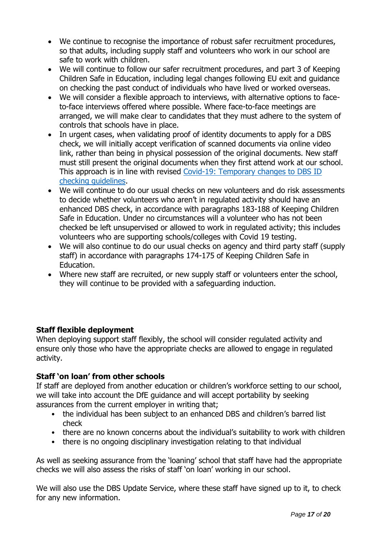- We continue to recognise the importance of robust safer recruitment procedures, so that adults, including supply staff and volunteers who work in our school are safe to work with children.
- We will continue to follow our safer recruitment procedures, and part 3 of Keeping Children Safe in Education, including legal changes following EU exit and guidance on checking the past conduct of individuals who have lived or worked overseas.
- We will consider a flexible approach to interviews, with alternative options to faceto-face interviews offered where possible. Where face-to-face meetings are arranged, we will make clear to candidates that they must adhere to the system of controls that schools have in place.
- In urgent cases, when validating proof of identity documents to apply for a DBS check, we will initially accept verification of scanned documents via online video link, rather than being in physical possession of the original documents. New staff must still present the original documents when they first attend work at our school. This approach is in line with revised Covid-19: Temporary changes to DBS ID [checking guidelines.](https://www.gov.uk/government/news/covid-19-changes-to-dbs-id-checking-guidelines)
- We will continue to do our usual checks on new volunteers and do risk assessments to decide whether volunteers who aren't in regulated activity should have an enhanced DBS check, in accordance with paragraphs 183-188 of Keeping Children Safe in Education. Under no circumstances will a volunteer who has not been checked be left unsupervised or allowed to work in regulated activity; this includes volunteers who are supporting schools/colleges with Covid 19 testing.
- We will also continue to do our usual checks on agency and third party staff (supply staff) in accordance with paragraphs 174-175 of Keeping Children Safe in Education.
- Where new staff are recruited, or new supply staff or volunteers enter the school, they will continue to be provided with a safeguarding induction.

#### **Staff flexible deployment**

When deploying support staff flexibly, the school will consider regulated activity and ensure only those who have the appropriate checks are allowed to engage in regulated activity.

#### **Staff 'on loan' from other schools**

If staff are deployed from another education or children's workforce setting to our school, we will take into account the DfE guidance and will accept portability by seeking assurances from the current employer in writing that;

- the individual has been subject to an enhanced DBS and children's barred list check
- there are no known concerns about the individual's suitability to work with children
- there is no ongoing disciplinary investigation relating to that individual

As well as seeking assurance from the 'loaning' school that staff have had the appropriate checks we will also assess the risks of staff 'on loan' working in our school.

We will also use the DBS Update Service, where these staff have signed up to it, to check for any new information.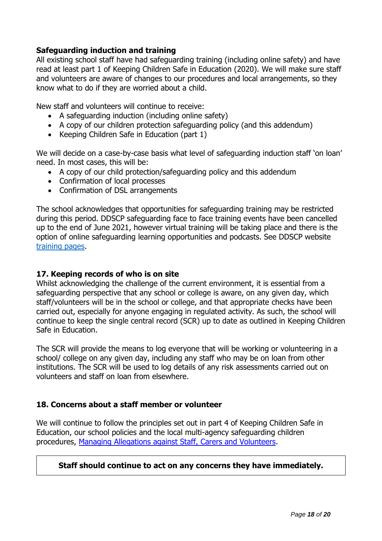#### **Safeguarding induction and training**

All existing school staff have had safeguarding training (including online safety) and have read at least part 1 of Keeping Children Safe in Education (2020). We will make sure staff and volunteers are aware of changes to our procedures and local arrangements, so they know what to do if they are worried about a child.

New staff and volunteers will continue to receive:

- A safeguarding induction (including online safety)
- A copy of our children protection safeguarding policy (and this addendum)
- Keeping Children Safe in Education (part 1)

We will decide on a case-by-case basis what level of safeguarding induction staff 'on loan' need. In most cases, this will be:

- A copy of our child protection/safeguarding policy and this addendum
- Confirmation of local processes
- Confirmation of DSL arrangements

The school acknowledges that opportunities for safeguarding training may be restricted during this period. DDSCP safeguarding face to face training events have been cancelled up to the end of June 2021, however virtual training will be taking place and there is the option of online safeguarding learning opportunities and podcasts. See DDSCP website [training pages.](https://www.ddscp.org.uk/training/)

#### **17. Keeping records of who is on site**

Whilst acknowledging the challenge of the current environment, it is essential from a safeguarding perspective that any school or college is aware, on any given day, which staff/volunteers will be in the school or college, and that appropriate checks have been carried out, especially for anyone engaging in regulated activity. As such, the school will continue to keep the single central record (SCR) up to date as outlined in Keeping Children Safe in Education.

The SCR will provide the means to log everyone that will be working or volunteering in a school/ college on any given day, including any staff who may be on loan from other institutions. The SCR will be used to log details of any risk assessments carried out on volunteers and staff on loan from elsewhere.

#### **18. Concerns about a staff member or volunteer**

We will continue to follow the principles set out in part 4 of Keeping Children Safe in Education, our school policies and the local multi-agency safeguarding children procedures, [Managing Allegations against Staff, Carers and Volunteers.](https://derbyshirescbs.proceduresonline.com/p_alleg_staff_carer_volunteer.html)

#### **Staff should continue to act on any concerns they have immediately.**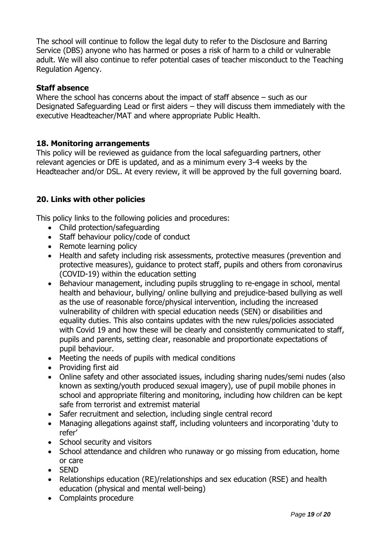The school will continue to follow the legal duty to refer to the Disclosure and Barring Service (DBS) anyone who has harmed or poses a risk of harm to a child or vulnerable adult. We will also continue to refer potential cases of teacher misconduct to the Teaching Regulation Agency.

#### **Staff absence**

Where the school has concerns about the impact of staff absence – such as our Designated Safeguarding Lead or first aiders – they will discuss them immediately with the executive Headteacher/MAT and where appropriate Public Health.

#### **18. Monitoring arrangements**

This policy will be reviewed as guidance from the local safeguarding partners, other relevant agencies or DfE is updated, and as a minimum every 3-4 weeks by the Headteacher and/or DSL. At every review, it will be approved by the full governing board.

#### **20. Links with other policies**

This policy links to the following policies and procedures:

- Child protection/safeguarding
- Staff behaviour policy/code of conduct
- Remote learning policy
- Health and safety including risk assessments, protective measures (prevention and protective measures), guidance to protect staff, pupils and others from coronavirus (COVID-19) within the education setting
- Behaviour management, including pupils struggling to re-engage in school, mental health and behaviour, bullying/ online bullying and prejudice-based bullying as well as the use of reasonable force/physical intervention, including the increased vulnerability of children with special education needs (SEN) or disabilities and equality duties. This also contains updates with the new rules/policies associated with Covid 19 and how these will be clearly and consistently communicated to staff, pupils and parents, setting clear, reasonable and proportionate expectations of pupil behaviour.
- Meeting the needs of pupils with medical conditions
- Providing first aid
- Online safety and other associated issues, including sharing nudes/semi nudes (also known as sexting/youth produced sexual imagery), use of pupil mobile phones in school and appropriate filtering and monitoring, including how children can be kept safe from terrorist and extremist material
- Safer recruitment and selection, including single central record
- Managing allegations against staff, including volunteers and incorporating 'duty to refer'
- School security and visitors
- School attendance and children who runaway or go missing from education, home or care
- SEND
- Relationships education (RE)/relationships and sex education (RSE) and health education (physical and mental well-being)
- Complaints procedure